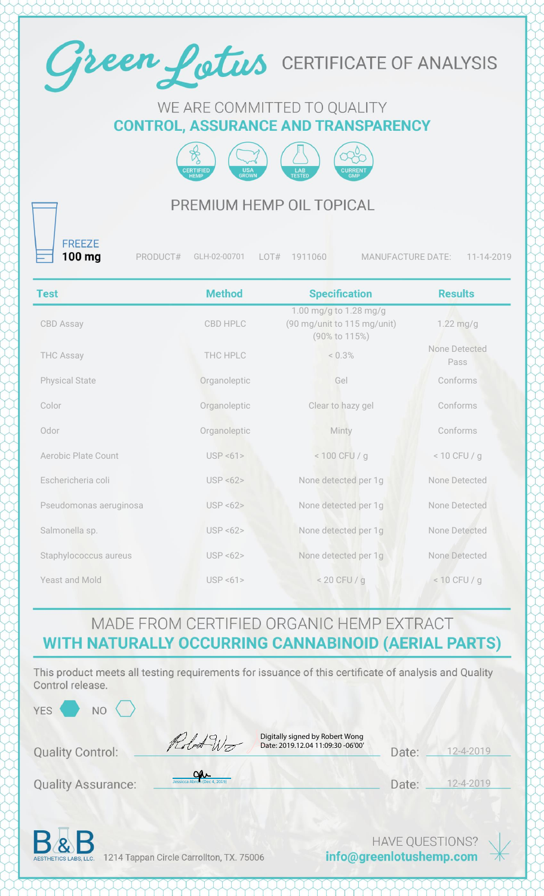

#### WE ARE COMMITTED TO QUALITY **CONTROL, ASSURANCE AND TRANSPARENCY**



## PREMIUM HEMP OIL TOPICAL

**FREEZE**  $100$  mg

PRODUCT# GLH-02-00701 LOT# 1911060 MANUFACTURE DATE: 11-14-2019

| <b>Test</b>                | <b>Method</b> | <b>Specification</b>                                                   | <b>Results</b>        |
|----------------------------|---------------|------------------------------------------------------------------------|-----------------------|
| CBD Assay                  | CBD HPLC      | 1.00 mg/g to 1.28 mg/g<br>(90 mg/unit to 115 mg/unit)<br>(90% to 115%) | $1.22$ mg/g           |
| <b>THC Assay</b>           | THC HPLC      | < 0.3%                                                                 | None Detected<br>Pass |
| <b>Physical State</b>      | Organoleptic  | Gel                                                                    | Conforms              |
| Color                      | Organoleptic  | Clear to hazy gel                                                      | Conforms              |
| Odor                       | Organoleptic  | Minty                                                                  | Conforms              |
| <b>Aerobic Plate Count</b> | USP < 61      | < 100 CFU / g                                                          | $< 10$ CFU / g        |
| Eschericheria coli         | USP < 62      | None detected per 1g                                                   | None Detected         |
| Pseudomonas aeruginosa     | USP < 62      | None detected per 1g                                                   | None Detected         |
| Salmonella sp.             | USP < 62      | None detected per 1g                                                   | None Detected         |
| Staphylococcus aureus      | USP < 62      | None detected per 1g                                                   | None Detected         |
| Yeast and Mold             | USP < 61      | $< 20$ CFU / g                                                         | $< 10$ CFU / g        |

## MADE FROM CERTIFIED ORGANIC HEMP EXTRACT WITH NATURALLY OCCURRING CANNABINOID (AERIAL PARTS)

This product meets all testing requirements for issuance of this certificate of analysis and Quality Control release.

 $NO<$ 

Robert Wo

Digitally signed by Robert Wong Date: 2019.12.04 11:09:30 -06'00'

| Date: | $12 - 4 - 2019$ |
|-------|-----------------|
|       |                 |

**Quality Assurance:** 

**Quality Control:** 

| aar                          |
|------------------------------|
| Jessicca Abron (Dec 4, 2019) |

| Date: | 12 |
|-------|----|

 $-4-2019$ 



1214 Tappan Circle Carrollton, TX. 75006

**HAVE QUESTIONS?** info@greenlotushemp.com